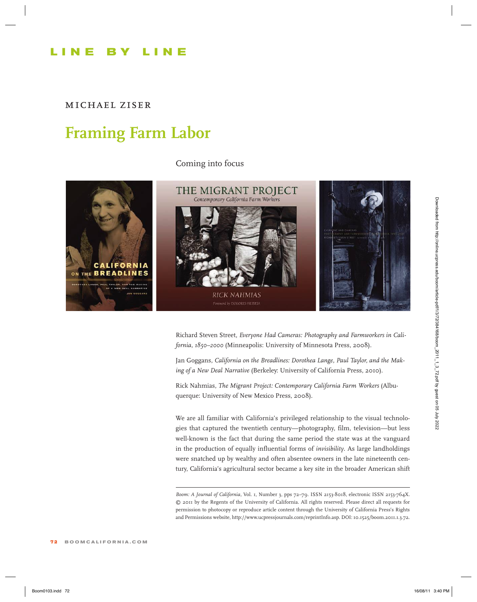## **L ine by L ine**

*michael ziser*

## **Framing Farm Labor**

Coming into focus



Richard Steven Street, *Everyone Had Cameras: Photography and Farmworkers in California, 1850–2000* (Minneapolis: University of Minnesota Press, 2008).

Jan Goggans, *California on the Breadlines: Dorothea Lange, Paul Taylor, and the Making of a New Deal Narrative* (Berkeley: University of California Press, 2010).

Rick Nahmias, *The Migrant Project: Contemporary California Farm Workers* (Albuquerque: University of New Mexico Press, 2008).

We are all familiar with California's privileged relationship to the visual technologies that captured the twentieth century—photography, film, television—but less well-known is the fact that during the same period the state was at the vanguard in the production of equally influential forms of *invisibility*. As large landholdings were snatched up by wealthy and often absentee owners in the late nineteenth century, California's agricultural sector became a key site in the broader American shift

*Boom: A Journal of California,* Vol. 1, Number 3, pps 72–79. ISSN 2153-8018, electronic ISSN 2153-764X. © 2011 by the Regents of the University of California. All rights reserved. Please direct all requests for permission to photocopy or reproduce article content through the University of California Press's Rights and Permissions website, http://www.ucpressjournals.com/reprintInfo.asp. DOI: 10.1525/boom.2011.1.3.72.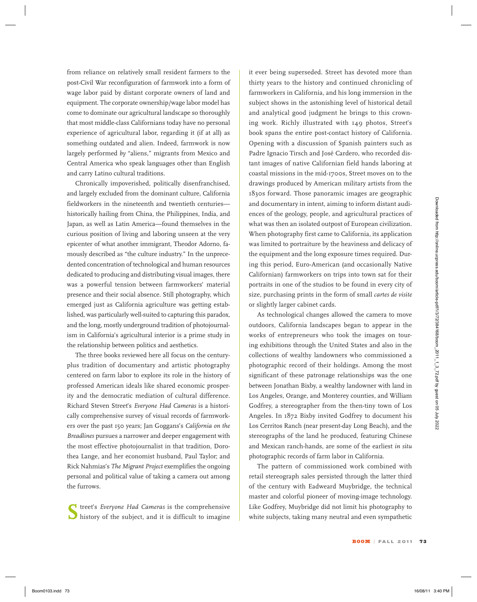from reliance on relatively small resident farmers to the post-Civil War reconfiguration of farmwork into a form of wage labor paid by distant corporate owners of land and equipment. The corporate ownership/wage labor model has come to dominate our agricultural landscape so thoroughly that most middle-class Californians today have no personal experience of agricultural labor, regarding it (if at all) as something outdated and alien. Indeed, farmwork is now largely performed *by* "aliens," migrants from Mexico and Central America who speak languages other than English and carry Latino cultural traditions.

Chronically impoverished, politically disenfranchised, and largely excluded from the dominant culture, California fieldworkers in the nineteenth and twentieth centuries historically hailing from China, the Philippines, India, and Japan, as well as Latin America—found themselves in the curious position of living and laboring unseen at the very epicenter of what another immigrant, Theodor Adorno, famously described as "the culture industry." In the unprecedented concentration of technological and human resources dedicated to producing and distributing visual images, there was a powerful tension between farmworkers' material presence and their social absence. Still photography, which emerged just as California agriculture was getting established, was particularly well-suited to capturing this paradox, and the long, mostly underground tradition of photojournalism in California's agricultural interior is a prime study in the relationship between politics and aesthetics. Book wakes the interleventation of the theorem. The interlevent is interlevent in the total and the strength of the strength in the strength of the strength of the strength of the strength of the strength of the strength

The three books reviewed here all focus on the centuryplus tradition of documentary and artistic photography centered on farm labor to explore its role in the history of professed American ideals like shared economic prosperity and the democratic mediation of cultural difference. Richard Steven Street's *Everyone Had Cameras* is a historically comprehensive survey of visual records of farmworkers over the past 150 years; Jan Goggans's *California on the Breadlines* pursues a narrower and deeper engagement with the most effective photojournalist in that tradition, Dorothea Lange, and her economist husband, Paul Taylor; and Rick Nahmias's *The Migrant Project* exemplifies the ongoing personal and political value of taking a camera out among the furrows.

**S**treet's *Everyone Had Cameras* is the comprehensive history of the subject, and it is difficult to imagine

it ever being superseded. Street has devoted more than thirty years to the history and continued chronicling of farmworkers in California, and his long immersion in the subject shows in the astonishing level of historical detail and analytical good judgment he brings to this crowning work. Richly illustrated with 149 photos, Street's book spans the entire post-contact history of California. Opening with a discussion of Spanish painters such as Padre Ignacio Tirsch and José Cardero, who recorded distant images of native Californian field hands laboring at coastal missions in the mid-1700s, Street moves on to the drawings produced by American military artists from the 1830s forward. Those panoramic images are geographic and documentary in intent, aiming to inform distant audiences of the geology, people, and agricultural practices of what was then an isolated outpost of European civilization. When photography first came to California, its application was limited to portraiture by the heaviness and delicacy of the equipment and the long exposure times required. During this period, Euro-American (and occasionally Native Californian) farmworkers on trips into town sat for their portraits in one of the studios to be found in every city of size, purchasing prints in the form of small *cartes de visite* or slightly larger cabinet cards.

As technological changes allowed the camera to move outdoors, California landscapes began to appear in the works of entrepreneurs who took the images on touring exhibitions through the United States and also in the collections of wealthy landowners who commissioned a photographic record of their holdings. Among the most significant of these patronage relationships was the one between Jonathan Bixby, a wealthy landowner with land in Los Angeles, Orange, and Monterey counties, and William Godfrey, a stereographer from the then-tiny town of Los Angeles. In 1872 Bixby invited Godfrey to document his Los Cerritos Ranch (near present-day Long Beach), and the stereographs of the land he produced, featuring Chinese and Mexican ranch-hands, are some of the earliest *in situ* photographic records of farm labor in California.

The pattern of commissioned work combined with retail stereograph sales persisted through the latter third of the century with Eadweard Muybridge, the technical master and colorful pioneer of moving-image technology. Like Godfrey, Muybridge did not limit his photography to white subjects, taking many neutral and even sympathetic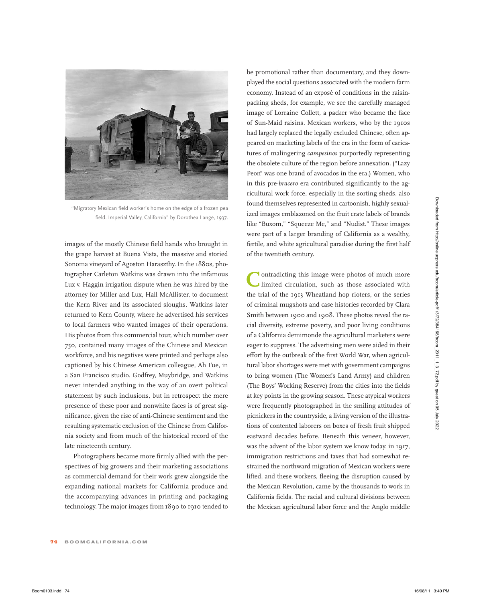

"Migratory Mexican field worker's home on the edge of a frozen pea field. Imperial Valley, California" by Dorothea Lange, 1937.

images of the mostly Chinese field hands who brought in the grape harvest at Buena Vista, the massive and storied Sonoma vineyard of Agoston Haraszthy. In the 1880s, photographer Carleton Watkins was drawn into the infamous Lux v. Haggin irrigation dispute when he was hired by the attorney for Miller and Lux, Hall McAllister, to document the Kern River and its associated sloughs. Watkins later returned to Kern County, where he advertised his services to local farmers who wanted images of their operations. His photos from this commercial tour, which number over 750, contained many images of the Chinese and Mexican workforce, and his negatives were printed and perhaps also captioned by his Chinese American colleague, Ah Fue, in a San Francisco studio. Godfrey, Muybridge, and Watkins never intended anything in the way of an overt political statement by such inclusions, but in retrospect the mere presence of these poor and nonwhite faces is of great significance, given the rise of anti-Chinese sentiment and the resulting systematic exclusion of the Chinese from California society and from much of the historical record of the late nineteenth century.

Photographers became more firmly allied with the perspectives of big growers and their marketing associations as commercial demand for their work grew alongside the expanding national markets for California produce and the accompanying advances in printing and packaging technology. The major images from 1890 to 1910 tended to

be promotional rather than documentary, and they downplayed the social questions associated with the modern farm economy. Instead of an exposé of conditions in the raisinpacking sheds, for example, we see the carefully managed image of Lorraine Collett, a packer who became the face of Sun-Maid raisins. Mexican workers, who by the 1910s had largely replaced the legally excluded Chinese, often appeared on marketing labels of the era in the form of caricatures of malingering *campesinos* purportedly representing the obsolete culture of the region before annexation. ("Lazy Peon" was one brand of avocados in the era.) Women, who in this pre-*bracero* era contributed significantly to the agricultural work force, especially in the sorting sheds, also found themselves represented in cartoonish, highly sexualized images emblazoned on the fruit crate labels of brands like "Buxom," "Squeeze Me," and "Nudist." These images were part of a larger branding of California as a wealthy, fertile, and white agricultural paradise during the first half of the twentieth century.

**C**ontradicting this image were photos of much more I limited circulation, such as those associated with the trial of the 1913 Wheatland hop rioters, or the series of criminal mugshots and case histories recorded by Clara Smith between 1900 and 1908. These photos reveal the racial diversity, extreme poverty, and poor living conditions of a California demimonde the agricultural marketers were eager to suppress. The advertising men were aided in their effort by the outbreak of the first World War, when agricultural labor shortages were met with government campaigns to bring women (The Women's Land Army) and children (The Boys' Working Reserve) from the cities into the fields at key points in the growing season. These atypical workers were frequently photographed in the smiling attitudes of picnickers in the countryside, a living version of the illustrations of contented laborers on boxes of fresh fruit shipped eastward decades before. Beneath this veneer, however, was the advent of the labor system we know today: in 1917, immigration restrictions and taxes that had somewhat restrained the northward migration of Mexican workers were lifted, and these workers, fleeing the disruption caused by the Mexican Revolution, came by the thousands to work in California fields. The racial and cultural divisions between the Mexican agricultural labor force and the Anglo middle Boom of the solid state of the solid state of the solid state of the solid state of the solid state of the solid state of the solid state of the solid state of the solid state of the solid state of the solid state of the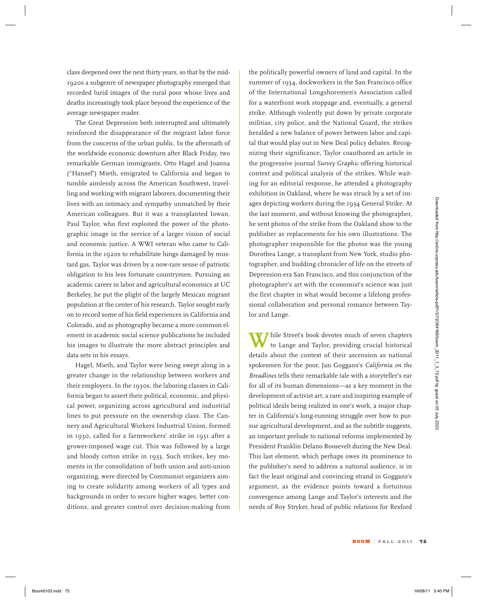class deepened over the next thirty years, so that by the mid-1920s a subgenre of newspaper photography emerged that recorded lurid images of the rural poor whose lives and deaths increasingly took place beyond the experience of the average newspaper reader.

The Great Depression both interrupted and ultimately reinforced the disappearance of the migrant labor force from the concerns of the urban public. In the aftermath of the worldwide economic downturn after Black Friday, two remarkable German immigrants, Otto Hagel and Joanna ("Hansel") Mieth, emigrated to California and began to tumble aimlessly across the American Southwest, travelling and working with migrant laborers, documenting their lives with an intimacy and sympathy unmatched by their American colleagues. But it was a transplanted Iowan, Paul Taylor, who first exploited the power of the photographic image in the service of a larger vision of social and economic justice. A WWI veteran who came to California in the 1920s to rehabilitate lungs damaged by mustard gas, Taylor was driven by a now-rare sense of patriotic obligation to his less fortunate countrymen. Pursuing an academic career in labor and agricultural economics at UC Berkeley, he put the plight of the largely Mexican migrant population at the center of his research. Taylor sought early on to record some of his field experiences in California and Colorado, and as photography became a more common element in academic social science publications he included his images to illustrate the more abstract principles and data sets in his essays.

Hagel, Mieth, and Taylor were being swept along in a greater change in the relationship between workers and their employers. In the 1930s, the laboring classes in California began to assert their political, economic, and physical power, organizing across agricultural and industrial lines to put pressure on the ownership class. The Cannery and Agricultural Workers Industrial Union, formed in 1930, called for a farmworkers' strike in 1931 after a grower-imposed wage cut. This was followed by a large and bloody cotton strike in 1933. Such strikes, key moments in the consolidation of both union and anti-union organizing, were directed by Communist organizers aiming to create solidarity among workers of all types and backgrounds in order to secure higher wages, better conditions, and greater control over decision-making from

the politically powerful owners of land and capital. In the summer of 1934, dockworkers in the San Francisco office of the International Longshoremen's Association called for a waterfront work stoppage and, eventually, a general strike. Although violently put down by private corporate militias, city police, and the National Guard, the strikes heralded a new balance of power between labor and capital that would play out in New Deal policy debates. Recognizing their significance, Taylor coauthored an article in the progressive journal *Survey Graphic* offering historical context and political analysis of the strikes. While waiting for an editorial response, he attended a photography exhibition in Oakland, where he was struck by a set of images depicting workers during the 1934 General Strike. At the last moment, and without knowing the photographer, he sent photos of the strike from the Oakland show to the publisher as replacements for his own illustrations. The photographer responsible for the photos was the young Dorothea Lange, a transplant from New York, studio photographer, and budding chronicler of life on the streets of Depression-era San Francisco, and this conjunction of the photographer's art with the economist's science was just the first chapter in what would become a lifelong professional collaboration and personal romance between Taylor and Lange.

Thile Street's book devotes much of seven chapters to Lange and Taylor, providing crucial historical details about the context of their ascension as national spokesmen for the poor, Jan Goggans's *California on the Breadlines* tells their remarkable tale with a storyteller's ear for all of its human dimensions—as a key moment in the development of activist art, a rare and inspiring example of political ideals being realized in one's work, a major chapter in California's long-running struggle over how to pursue agricultural development, and as the subtitle suggests, an important prelude to national reforms implemented by President Franklin Delano Roosevelt during the New Deal. This last element, which perhaps owes its prominence to the publisher's need to address a national audience, is in fact the least original and convincing strand in Goggans's argument, as the evidence points toward a fortuitous convergence among Lange and Taylor's interests and the needs of Roy Stryker, head of public relations for Rexford Boom Nation and the second state of the second from the set in the set in the set in the set in the set in the set in the set in the set in the set in the set in the set in the set in the set in the set in the set in the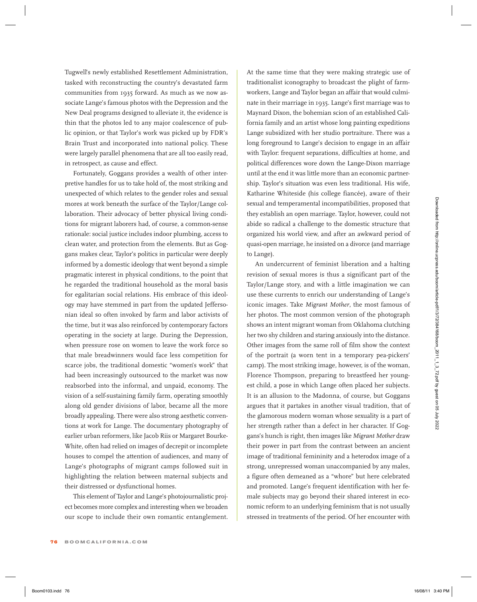Tugwell's newly established Resettlement Administration, tasked with reconstructing the country's devastated farm communities from 1935 forward. As much as we now associate Lange's famous photos with the Depression and the New Deal programs designed to alleviate it, the evidence is thin that the photos led to any major coalescence of public opinion, or that Taylor's work was picked up by FDR's Brain Trust and incorporated into national policy. These were largely parallel phenomena that are all too easily read, in retrospect, as cause and effect.

Fortunately, Goggans provides a wealth of other interpretive handles for us to take hold of, the most striking and unexpected of which relates to the gender roles and sexual mores at work beneath the surface of the Taylor/Lange collaboration. Their advocacy of better physical living conditions for migrant laborers had, of course, a common-sense rationale: social justice includes indoor plumbing, access to clean water, and protection from the elements. But as Goggans makes clear, Taylor's politics in particular were deeply informed by a domestic ideology that went beyond a simple pragmatic interest in physical conditions, to the point that he regarded the traditional household as the moral basis for egalitarian social relations. His embrace of this ideology may have stemmed in part from the updated Jeffersonian ideal so often invoked by farm and labor activists of the time, but it was also reinforced by contemporary factors operating in the society at large. During the Depression, when pressure rose on women to leave the work force so that male breadwinners would face less competition for scarce jobs, the traditional domestic "women's work" that had been increasingly outsourced to the market was now reabsorbed into the informal, and unpaid, economy. The vision of a self-sustaining family farm, operating smoothly along old gender divisions of labor, became all the more broadly appealing. There were also strong aesthetic conventions at work for Lange. The documentary photography of earlier urban reformers, like Jacob Riis or Margaret Bourke-White, often had relied on images of decrepit or incomplete houses to compel the attention of audiences, and many of Lange's photographs of migrant camps followed suit in highlighting the relation between maternal subjects and their distressed or dysfunctional homes. Boom is weak boomds of the boom and the state of the state and the state and the state of the state of the state of the state of the state of the state of the state of the state of the state of the state of the state of t

This element of Taylor and Lange's photojournalistic project becomes more complex and interesting when we broaden our scope to include their own romantic entanglement. At the same time that they were making strategic use of traditionalist iconography to broadcast the plight of farmworkers, Lange and Taylor began an affair that would culminate in their marriage in 1935. Lange's first marriage was to Maynard Dixon, the bohemian scion of an established California family and an artist whose long painting expeditions Lange subsidized with her studio portraiture. There was a long foreground to Lange's decision to engage in an affair with Taylor: frequent separations, difficulties at home, and political differences wore down the Lange-Dixon marriage until at the end it was little more than an economic partnership. Taylor's situation was even less traditional. His wife, Katharine Whiteside (his college fiancée), aware of their sexual and temperamental incompatibilities, proposed that they establish an open marriage. Taylor, however, could not abide so radical a challenge to the domestic structure that organized his world view, and after an awkward period of quasi-open marriage, he insisted on a divorce (and marriage to Lange).

An undercurrent of feminist liberation and a halting revision of sexual mores is thus a significant part of the Taylor/Lange story, and with a little imagination we can use these currents to enrich our understanding of Lange's iconic images. Take *Migrant Mother*, the most famous of her photos. The most common version of the photograph shows an intent migrant woman from Oklahoma clutching her two shy children and staring anxiously into the distance. Other images from the same roll of film show the context of the portrait (a worn tent in a temporary pea-pickers' camp). The most striking image, however, is of the woman, Florence Thompson, preparing to breastfeed her youngest child, a pose in which Lange often placed her subjects. It is an allusion to the Madonna, of course, but Goggans argues that it partakes in another visual tradition, that of the glamorous modern woman whose sexuality is a part of her strength rather than a defect in her character. If Goggans's hunch is right, then images like *Migrant Mother* draw their power in part from the contrast between an ancient image of traditional femininity and a heterodox image of a strong, unrepressed woman unaccompanied by any males, a figure often demeaned as a "whore" but here celebrated and promoted. Lange's frequent identification with her female subjects may go beyond their shared interest in economic reform to an underlying feminism that is not usually stressed in treatments of the period. Of her encounter with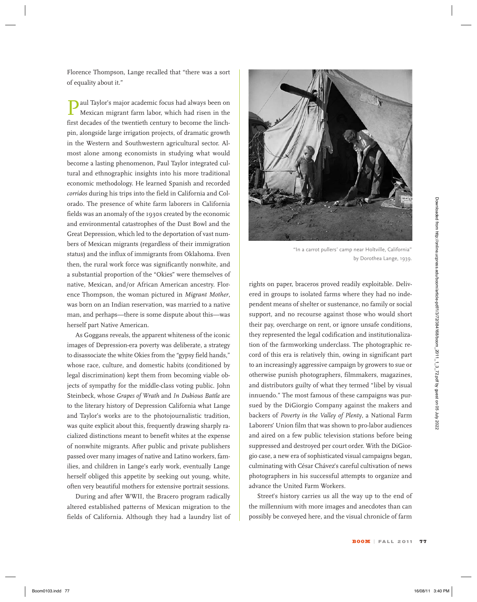aul Taylor's major academic focus had always been on Mexican migrant farm labor, which had risen in the first decades of the twentieth century to become the linchpin, alongside large irrigation projects, of dramatic growth in the Western and Southwestern agricultural sector. Almost alone among economists in studying what would become a lasting phenomenon, Paul Taylor integrated cultural and ethnographic insights into his more traditional economic methodology. He learned Spanish and recorded *corridos* during his trips into the field in California and Colorado. The presence of white farm laborers in California fields was an anomaly of the 1930s created by the economic and environmental catastrophes of the Dust Bowl and the Great Depression, which led to the deportation of vast numbers of Mexican migrants (regardless of their immigration status) and the influx of immigrants from Oklahoma. Even then, the rural work force was significantly nonwhite, and a substantial proportion of the "Okies" were themselves of native, Mexican, and/or African American ancestry. Florence Thompson, the woman pictured in *Migrant Mother*, was born on an Indian reservation, was married to a native man, and perhaps—there is some dispute about this—was herself part Native American.

As Goggans reveals, the apparent whiteness of the iconic images of Depression-era poverty was deliberate, a strategy to disassociate the white Okies from the "gypsy field hands," whose race, culture, and domestic habits (conditioned by legal discrimination) kept them from becoming viable objects of sympathy for the middle-class voting public. John Steinbeck, whose *Grapes of Wrath* and *In Dubious Battle* are to the literary history of Depression California what Lange and Taylor's works are to the photojournalistic tradition, was quite explicit about this, frequently drawing sharply racialized distinctions meant to benefit whites at the expense of nonwhite migrants. After public and private publishers passed over many images of native and Latino workers, families, and children in Lange's early work, eventually Lange herself obliged this appetite by seeking out young, white, often very beautiful mothers for extensive portrait sessions.

During and after WWII, the Bracero program radically altered established patterns of Mexican migration to the fields of California. Although they had a laundry list of



"In a carrot pullers' camp near Holtville, California" by Dorothea Lange, 1939.

rights on paper, braceros proved readily exploitable. Delivered in groups to isolated farms where they had no independent means of shelter or sustenance, no family or social support, and no recourse against those who would short their pay, overcharge on rent, or ignore unsafe conditions, they represented the legal codification and institutionalization of the farmworking underclass. The photographic record of this era is relatively thin, owing in significant part to an increasingly aggressive campaign by growers to sue or otherwise punish photographers, filmmakers, magazines, and distributors guilty of what they termed "libel by visual innuendo." The most famous of these campaigns was pursued by the DiGiorgio Company against the makers and backers of *Poverty in the Valley of Plenty*, a National Farm Laborers' Union film that was shown to pro-labor audiences and aired on a few public television stations before being suppressed and destroyed per court order. With the DiGiorgio case, a new era of sophisticated visual campaigns began, culminating with César Chávez's careful cultivation of news photographers in his successful attempts to organize and advance the United Farm Workers. omio. The presence of which claim about the Solicity of the Color and University and Color and Universite of the Daw Downloaded from https://online.ucpress.edu/boom/article-points of the Color Solicity and the Daw Downlo

Street's history carries us all the way up to the end of the millennium with more images and anecdotes than can possibly be conveyed here, and the visual chronicle of farm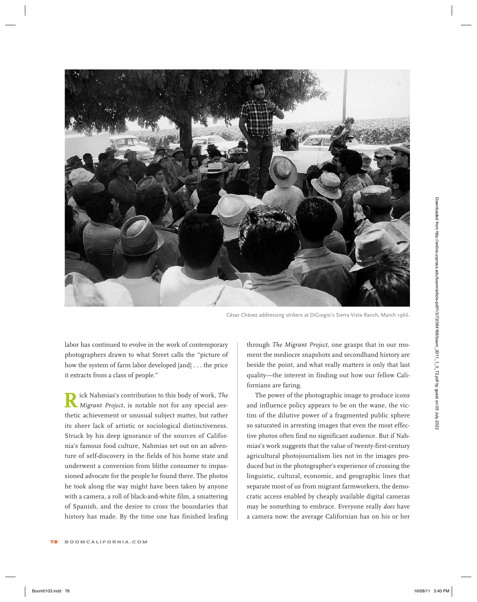

César Chávez addressing strikers at DiGiogio's Sierra Vista Ranch, March 1966.

labor has continued to evolve in the work of contemporary photographers drawn to what Street calls the "picture of how the system of farm labor developed [and] . . . the price it extracts from a class of people."

**R**ick Nahmias's contribution to this body of work, *The Migrant Project*, is notable not for any special aesthetic achievement or unusual subject matter, but rather its sheer lack of artistic or sociological distinctiveness. Struck by his deep ignorance of the sources of California's famous food culture, Nahmias set out on an adventure of self-discovery in the fields of his home state and underwent a conversion from blithe consumer to impassioned advocate for the people he found there. The photos he took along the way might have been taken by anyone with a camera, a roll of black-and-white film, a smattering of Spanish, and the desire to cross the boundaries that history has made. By the time one has finished leafing

through *The Migrant Project*, one grasps that in our moment the mediocre snapshots and secondhand history are beside the point, and what really matters is only that last quality—the interest in finding out how our fellow Californians are faring.

The power of the photographic image to produce icons and influence policy appears to be on the wane, the victim of the dilutive power of a fragmented public sphere so saturated in arresting images that even the most effective photos often find no significant audience. But if Nahmias's work suggests that the value of twenty-first-century agricultural photojournalism lies not in the images produced but in the photographer's experience of crossing the linguistic, cultural, economic, and geographic lines that separate most of us from migrant farmworkers, the democratic access enabled by cheaply available digital cameras may be something to embrace. Everyone really *does* have a camera now: the average Californian has on his or her